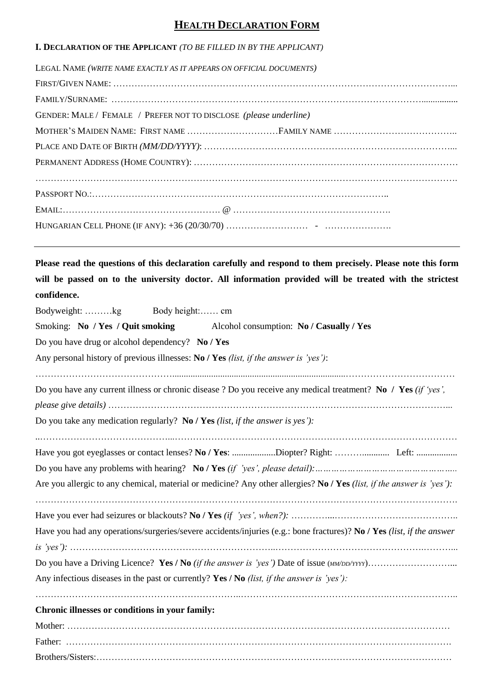# **HEALTH DECLARATION FORM**

# **I. DECLARATION OF THE APPLICANT** *(TO BE FILLED IN BY THE APPLICANT)*

| LEGAL NAME (WRITE NAME EXACTLY AS IT APPEARS ON OFFICIAL DOCUMENTS) |
|---------------------------------------------------------------------|
|                                                                     |
|                                                                     |
| GENDER: MALE / FEMALE / PREFER NOT TO DISCLOSE (please underline)   |
| MOTHER'S MAIDEN NAME: FIRST NAME FAMILY NAME                        |
|                                                                     |
|                                                                     |
|                                                                     |
|                                                                     |
|                                                                     |
|                                                                     |
|                                                                     |

**Please read the questions of this declaration carefully and respond to them precisely. Please note this form will be passed on to the university doctor. All information provided will be treated with the strictest confidence.**

| Body height: cm<br>Bodyweight: kg                                                                                     |  |  |  |  |  |  |
|-----------------------------------------------------------------------------------------------------------------------|--|--|--|--|--|--|
| Smoking: No / Yes / Quit smoking Alcohol consumption: No / Casually / Yes                                             |  |  |  |  |  |  |
| Do you have drug or alcohol dependency? No / Yes                                                                      |  |  |  |  |  |  |
| Any personal history of previous illnesses: No / Yes (list, if the answer is 'yes'):                                  |  |  |  |  |  |  |
|                                                                                                                       |  |  |  |  |  |  |
| Do you have any current illness or chronic disease ? Do you receive any medical treatment? No / Yes (if 'yes',        |  |  |  |  |  |  |
|                                                                                                                       |  |  |  |  |  |  |
| Do you take any medication regularly? No / Yes <i>(list, if the answer is yes')</i> :                                 |  |  |  |  |  |  |
|                                                                                                                       |  |  |  |  |  |  |
|                                                                                                                       |  |  |  |  |  |  |
|                                                                                                                       |  |  |  |  |  |  |
| Are you allergic to any chemical, material or medicine? Any other allergies? No / Yes (list, if the answer is 'yes'): |  |  |  |  |  |  |
|                                                                                                                       |  |  |  |  |  |  |
| Have you had any operations/surgeries/severe accidents/injuries (e.g.: bone fractures)? No / Yes (list, if the answer |  |  |  |  |  |  |
|                                                                                                                       |  |  |  |  |  |  |
|                                                                                                                       |  |  |  |  |  |  |
| Any infectious diseases in the past or currently? Yes / No <i>(list, if the answer is 'yes')</i> :                    |  |  |  |  |  |  |
|                                                                                                                       |  |  |  |  |  |  |
| Chronic illnesses or conditions in your family:                                                                       |  |  |  |  |  |  |
|                                                                                                                       |  |  |  |  |  |  |
|                                                                                                                       |  |  |  |  |  |  |
|                                                                                                                       |  |  |  |  |  |  |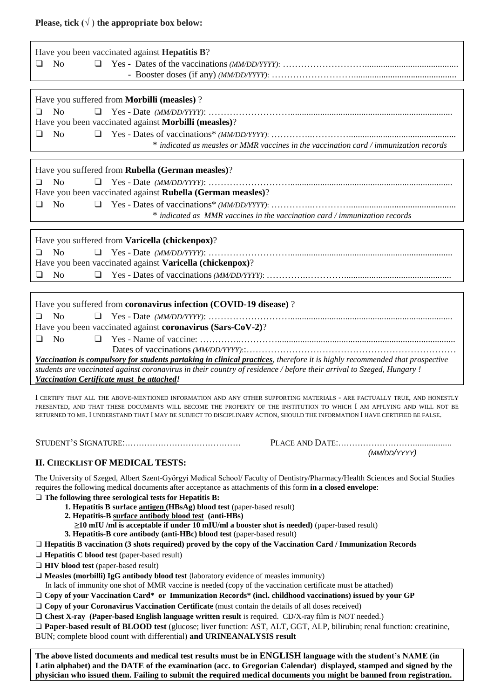# **Please, tick**  $(\sqrt{})$  the appropriate box below:

| Have you been vaccinated against <b>Hepatitis B</b> ?                                                                       |  |  |  |  |  |
|-----------------------------------------------------------------------------------------------------------------------------|--|--|--|--|--|
| $\Box$<br>N <sub>o</sub><br>$\Box$                                                                                          |  |  |  |  |  |
|                                                                                                                             |  |  |  |  |  |
|                                                                                                                             |  |  |  |  |  |
| Have you suffered from <b>Morbilli (measles)</b> ?                                                                          |  |  |  |  |  |
| No.<br>$\Box$                                                                                                               |  |  |  |  |  |
| Have you been vaccinated against <b>Morbilli</b> (measles)?                                                                 |  |  |  |  |  |
| $\Box$<br>$\Box$<br>N <sub>0</sub>                                                                                          |  |  |  |  |  |
| * indicated as measles or MMR vaccines in the vaccination card / immunization records                                       |  |  |  |  |  |
|                                                                                                                             |  |  |  |  |  |
| Have you suffered from Rubella (German measles)?                                                                            |  |  |  |  |  |
| $\Box$<br>No                                                                                                                |  |  |  |  |  |
| Have you been vaccinated against Rubella (German measles)?                                                                  |  |  |  |  |  |
| $\Box$<br>N <sub>o</sub><br>$\Box$                                                                                          |  |  |  |  |  |
| * indicated as MMR vaccines in the vaccination card / immunization records                                                  |  |  |  |  |  |
|                                                                                                                             |  |  |  |  |  |
| Have you suffered from <b>Varicella</b> (chickenpox)?                                                                       |  |  |  |  |  |
| <b>No</b><br>$\Box$                                                                                                         |  |  |  |  |  |
| Have you been vaccinated against Varicella (chickenpox)?                                                                    |  |  |  |  |  |
| $\Box$<br><b>No</b><br>$\Box$                                                                                               |  |  |  |  |  |
|                                                                                                                             |  |  |  |  |  |
| Have you suffered from coronavirus infection (COVID-19 disease)?                                                            |  |  |  |  |  |
| $\overline{N}$<br>$\Box$                                                                                                    |  |  |  |  |  |
| Have you been vaccinated against coronavirus (Sars-CoV-2)?                                                                  |  |  |  |  |  |
| $\Box$<br>No<br>$\Box$                                                                                                      |  |  |  |  |  |
|                                                                                                                             |  |  |  |  |  |
| Vaccination is compulsory for students partaking in clinical practices, therefore it is highly recommended that prospective |  |  |  |  |  |
| students are vaccinated against coronavirus in their country of residence / before their arrival to Szeged, Hungary!        |  |  |  |  |  |
| Vaccination Certificate must be attached!                                                                                   |  |  |  |  |  |
|                                                                                                                             |  |  |  |  |  |

I CERTIFY THAT ALL THE ABOVE-MENTIONED INFORMATION AND ANY OTHER SUPPORTING MATERIALS - ARE FACTUALLY TRUE, AND HONESTLY PRESENTED, AND THAT THESE DOCUMENTS WILL BECOME THE PROPERTY OF THE INSTITUTION TO WHICH I AM APPLYING AND WILL NOT BE RETURNED TO ME. I UNDERSTAND THAT I MAY BE SUBJECT TO DISCIPLINARY ACTION, SHOULD THE INFORMATION I HAVE CERTIFIED BE FALSE.

STUDENT'S SIGNATURE:…………………………………… PLACE AND DATE:……………………….................

# **II. CHECKLIST OF MEDICAL TESTS:**

*(MM/DD/YYYY)*

The University of Szeged, Albert Szent-Györgyi Medical School/ Faculty of Dentistry/Pharmacy/Health Sciences and Social Studies requires the following medical documents after acceptance as attachments of this form **in a closed envelope**:

#### ❑ **The following three serological tests for Hepatitis B:**

- **1. Hepatitis B surface antigen (HBsAg) blood test (paper-based result)**
- **2. Hepatitis-B surface antibody blood test (anti-HBs)**
- **≥10 mIU /ml is acceptable if under 10 mIU/ml a booster shot is needed)** (paper-based result)
	- **3. Hepatitis-B core antibody (anti-HBc) blood test** (paper-based result)
- ❑ **Hepatitis B vaccination (3 shots required) proved by the copy of the Vaccination Card / Immunization Records**
- □ **Hepatitis C blood test** (paper-based result)
- ❑ **HIV blood test** (paper-based result)
- ❑ **Measles (morbilli) IgG antibody blood test** (laboratory evidence of measles immunity)

In lack of immunity one shot of MMR vaccine is needed (copy of the vaccination certificate must be attached)

- ❑ **Copy of your Vaccination Card\* or Immunization Records\* (incl. childhood vaccinations) issued by your GP**
- □ **Copy of your Coronavirus Vaccination Certificate** (must contain the details of all doses received)
- ❑ **Chest X-ray (Paper-based English language written result** is required. CD/X-ray film is NOT needed.)

❑ **Paper-based result of BLOOD test** (glucose; liver function: AST, ALT, GGT, ALP, bilirubin; renal function: creatinine,

BUN; complete blood count with differential) **and URINEANALYSIS result** 

**The above listed documents and medical test results must be in ENGLISH language with the student's NAME (in Latin alphabet) and the DATE of the examination (acc. to Gregorian Calendar) displayed, stamped and signed by the physician who issued them. Failing to submit the required medical documents you might be banned from registration.**